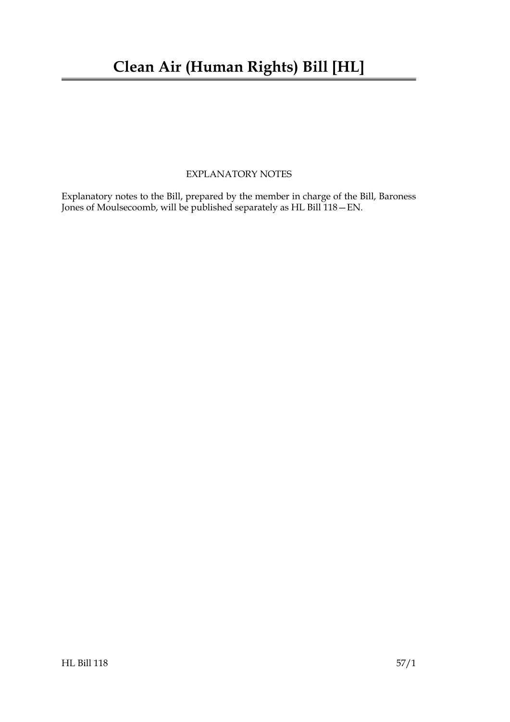### EXPLANATORY NOTES

Explanatory notes to the Bill, prepared by the member in charge of the Bill, Baroness Jones of Moulsecoomb, will be published separately as HL Bill 118—EN.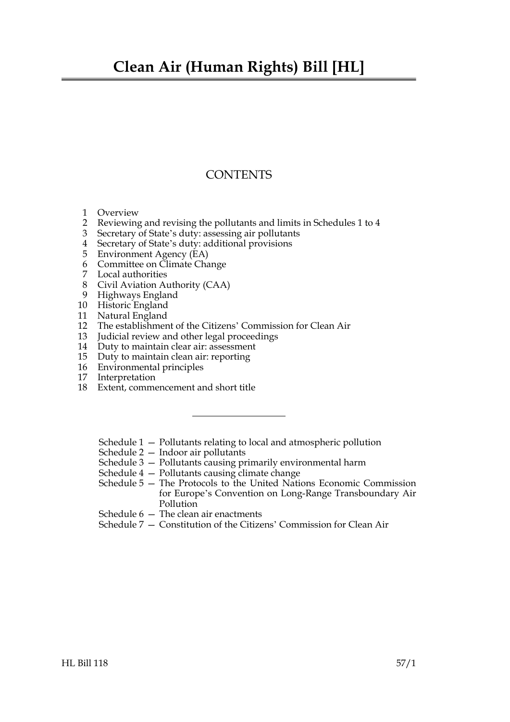## **Clean Air (Human Rights) Bill [HL]**

### **CONTENTS**

- 1 Overview
- 2 Reviewing and revising the pollutants and limits in Schedules 1 to 4
- 3 Secretary of State's duty: assessing air pollutants
- 4 Secretary of State's duty: additional provisions
- 5 Environment Agency (EA)
- 6 Committee on Climate Change
- 7 Local authorities
- 8 Civil Aviation Authority (CAA)
- 9 Highways England
- 10 Historic England
- 11 Natural England
- 12 The establishment of the Citizens' Commission for Clean Air
- 13 Judicial review and other legal proceedings
- 14 Duty to maintain clear air: assessment
- 15 Duty to maintain clean air: reporting
- 16 Environmental principles
- 17 Interpretation
- 18 Extent, commencement and short title
	- Schedule 1 Pollutants relating to local and atmospheric pollution
	- Schedule 2 Indoor air pollutants
	- Schedule 3 Pollutants causing primarily environmental harm
	- Schedule 4 Pollutants causing climate change
	- Schedule 5 The Protocols to the United Nations Economic Commission for Europe's Convention on Long-Range Transboundary Air Pollution
	- Schedule 6 The clean air enactments
	- Schedule 7 Constitution of the Citizens' Commission for Clean Air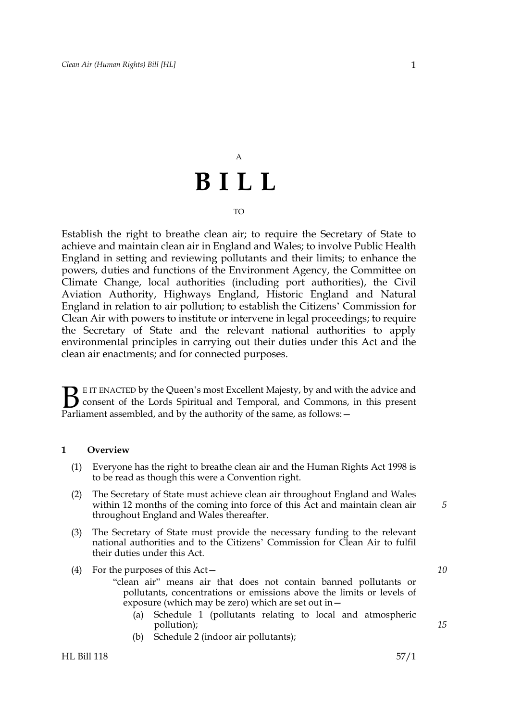# A **BILL**

#### TO

Establish the right to breathe clean air; to require the Secretary of State to achieve and maintain clean air in England and Wales; to involve Public Health England in setting and reviewing pollutants and their limits; to enhance the powers, duties and functions of the Environment Agency, the Committee on Climate Change, local authorities (including port authorities), the Civil Aviation Authority, Highways England, Historic England and Natural England in relation to air pollution; to establish the Citizens' Commission for Clean Air with powers to institute or intervene in legal proceedings; to require the Secretary of State and the relevant national authorities to apply environmental principles in carrying out their duties under this Act and the clean air enactments; and for connected purposes.

E IT ENACTED by the Queen's most Excellent Majesty, by and with the advice and consent of the Lords Spiritual and Temporal, and Commons, in this present Parliament assembled, and by the authority of the same, as follows: - $\mathbf{B}_{\text{rel}}$ 

#### **1 Overview**

- (1) Everyone has the right to breathe clean air and the Human Rights Act 1998 is to be read as though this were a Convention right.
- (2) The Secretary of State must achieve clean air throughout England and Wales within 12 months of the coming into force of this Act and maintain clean air throughout England and Wales thereafter.
- (3) The Secretary of State must provide the necessary funding to the relevant national authorities and to the Citizens' Commission for Clean Air to fulfil their duties under this Act.
- (4) For the purposes of this Act—

"clean air" means air that does not contain banned pollutants or pollutants, concentrations or emissions above the limits or levels of exposure (which may be zero) which are set out in—

- (a) Schedule 1 (pollutants relating to local and atmospheric pollution);
- (b) Schedule 2 (indoor air pollutants);

*5*

*10*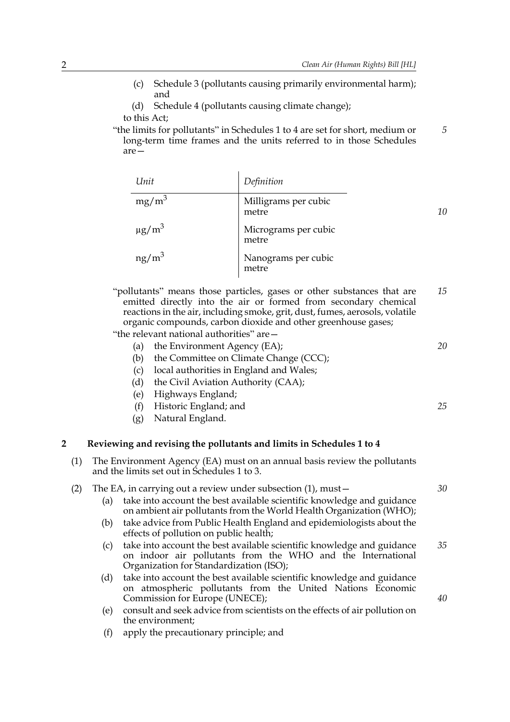- (c) Schedule 3 (pollutants causing primarily environmental harm); and
- (d) Schedule 4 (pollutants causing climate change);

to this Act;

"the limits for pollutants" in Schedules 1 to 4 are set for short, medium or long-term time frames and the units referred to in those Schedules are— *5*

| Unit                   | Definition                    |    |
|------------------------|-------------------------------|----|
| $mg/m^3$               | Milligrams per cubic<br>metre | 10 |
| $\mu$ g/m <sup>3</sup> | Micrograms per cubic<br>metre |    |
| $ng/m^3$               | Nanograms per cubic<br>metre  |    |

"pollutants" means those particles, gases or other substances that are emitted directly into the air or formed from secondary chemical reactions in the air, including smoke, grit, dust, fumes, aerosols, volatile organic compounds, carbon dioxide and other greenhouse gases; *15*

"the relevant national authorities" are—

- (a) the Environment Agency (EA);
- (b) the Committee on Climate Change (CCC);
- (c) local authorities in England and Wales;
- (d) the Civil Aviation Authority (CAA);
- (e) Highways England;
- (f) Historic England; and
- (g) Natural England.

#### **2 Reviewing and revising the pollutants and limits in Schedules 1 to 4**

- (1) The Environment Agency (EA) must on an annual basis review the pollutants and the limits set out in Schedules 1 to 3.
- (2) The EA, in carrying out a review under subsection (1), must—
	- (a) take into account the best available scientific knowledge and guidance on ambient air pollutants from the World Health Organization (WHO);
	- (b) take advice from Public Health England and epidemiologists about the effects of pollution on public health;
	- (c) take into account the best available scientific knowledge and guidance on indoor air pollutants from the WHO and the International Organization for Standardization (ISO); *35*
	- (d) take into account the best available scientific knowledge and guidance on atmospheric pollutants from the United Nations Economic Commission for Europe (UNECE);
	- (e) consult and seek advice from scientists on the effects of air pollution on the environment;
	- (f) apply the precautionary principle; and

*20*

*25*

*30*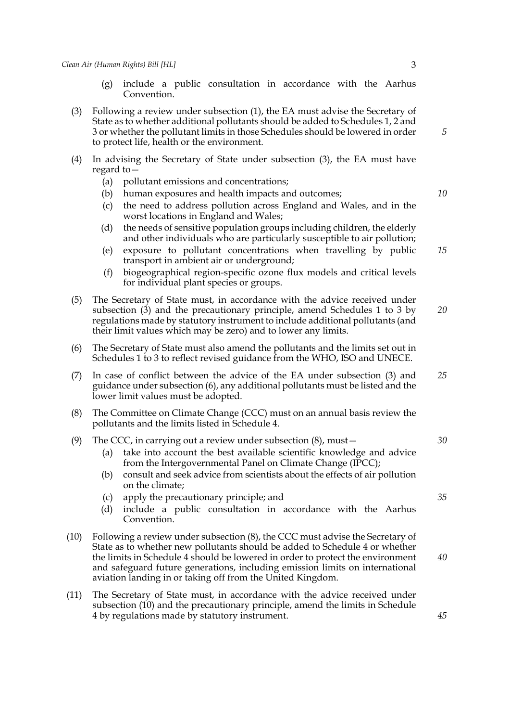- (g) include a public consultation in accordance with the Aarhus Convention.
- (3) Following a review under subsection (1), the EA must advise the Secretary of State as to whether additional pollutants should be added to Schedules 1, 2 and 3 or whether the pollutant limits in those Schedules should be lowered in order to protect life, health or the environment.
- (4) In advising the Secretary of State under subsection (3), the EA must have regard to—
	- (a) pollutant emissions and concentrations;
	- (b) human exposures and health impacts and outcomes;
	- (c) the need to address pollution across England and Wales, and in the worst locations in England and Wales;
	- (d) the needs of sensitive population groups including children, the elderly and other individuals who are particularly susceptible to air pollution;
	- (e) exposure to pollutant concentrations when travelling by public transport in ambient air or underground; *15*
	- (f) biogeographical region-specific ozone flux models and critical levels for individual plant species or groups.
- (5) The Secretary of State must, in accordance with the advice received under subsection (3) and the precautionary principle, amend Schedules 1 to 3 by regulations made by statutory instrument to include additional pollutants (and their limit values which may be zero) and to lower any limits. *20*
- (6) The Secretary of State must also amend the pollutants and the limits set out in Schedules 1 to 3 to reflect revised guidance from the WHO, ISO and UNECE.
- (7) In case of conflict between the advice of the EA under subsection (3) and guidance under subsection (6), any additional pollutants must be listed and the lower limit values must be adopted. *25*
- (8) The Committee on Climate Change (CCC) must on an annual basis review the pollutants and the limits listed in Schedule 4.

#### (9) The CCC, in carrying out a review under subsection (8), must—

- (a) take into account the best available scientific knowledge and advice from the Intergovernmental Panel on Climate Change (IPCC);
- (b) consult and seek advice from scientists about the effects of air pollution on the climate;
- (c) apply the precautionary principle; and
- (d) include a public consultation in accordance with the Aarhus Convention.
- (10) Following a review under subsection (8), the CCC must advise the Secretary of State as to whether new pollutants should be added to Schedule 4 or whether the limits in Schedule 4 should be lowered in order to protect the environment and safeguard future generations, including emission limits on international aviation landing in or taking off from the United Kingdom.
- (11) The Secretary of State must, in accordance with the advice received under subsection (10) and the precautionary principle, amend the limits in Schedule 4 by regulations made by statutory instrument.

*5*

*10*

*30*

*40*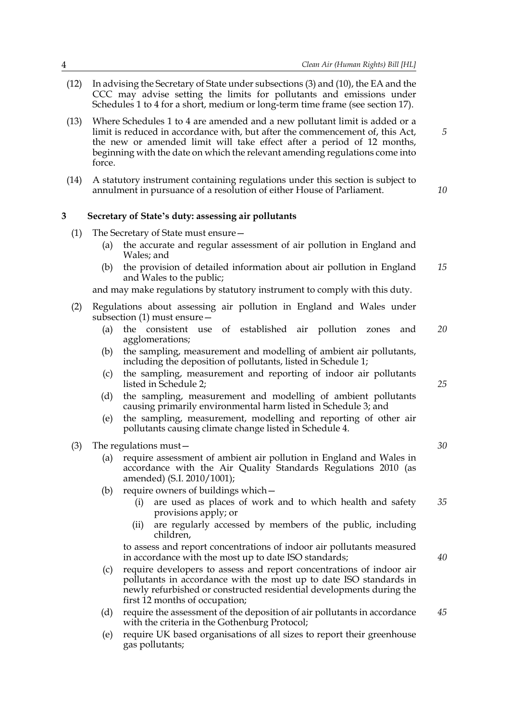- (12) In advising the Secretary of State under subsections (3) and (10), the EA and the CCC may advise setting the limits for pollutants and emissions under Schedules 1 to 4 for a short, medium or long-term time frame (see section 17).
- (13) Where Schedules 1 to 4 are amended and a new pollutant limit is added or a limit is reduced in accordance with, but after the commencement of, this Act, the new or amended limit will take effect after a period of 12 months, beginning with the date on which the relevant amending regulations come into force.
- (14) A statutory instrument containing regulations under this section is subject to annulment in pursuance of a resolution of either House of Parliament.

### **3 Secretary of State's duty: assessing air pollutants**

- (1) The Secretary of State must ensure—
	- (a) the accurate and regular assessment of air pollution in England and Wales; and
	- (b) the provision of detailed information about air pollution in England and Wales to the public; *15*

and may make regulations by statutory instrument to comply with this duty.

- (2) Regulations about assessing air pollution in England and Wales under subsection (1) must ensure—
	- (a) the consistent use of established air pollution zones and agglomerations; *20*
	- (b) the sampling, measurement and modelling of ambient air pollutants, including the deposition of pollutants, listed in Schedule 1;
	- (c) the sampling, measurement and reporting of indoor air pollutants listed in Schedule 2;
	- (d) the sampling, measurement and modelling of ambient pollutants causing primarily environmental harm listed in Schedule 3; and
	- (e) the sampling, measurement, modelling and reporting of other air pollutants causing climate change listed in Schedule 4.
- (3) The regulations must—
	- (a) require assessment of ambient air pollution in England and Wales in accordance with the Air Quality Standards Regulations 2010 (as amended) (S.I. 2010/1001);
	- (b) require owners of buildings which
		- are used as places of work and to which health and safety provisions apply; or *35*
		- (ii) are regularly accessed by members of the public, including children,

to assess and report concentrations of indoor air pollutants measured in accordance with the most up to date ISO standards;

- (c) require developers to assess and report concentrations of indoor air pollutants in accordance with the most up to date ISO standards in newly refurbished or constructed residential developments during the first 12 months of occupation;
- (d) require the assessment of the deposition of air pollutants in accordance with the criteria in the Gothenburg Protocol; *45*
- (e) require UK based organisations of all sizes to report their greenhouse gas pollutants;

*25*

*30*

*40*

*5*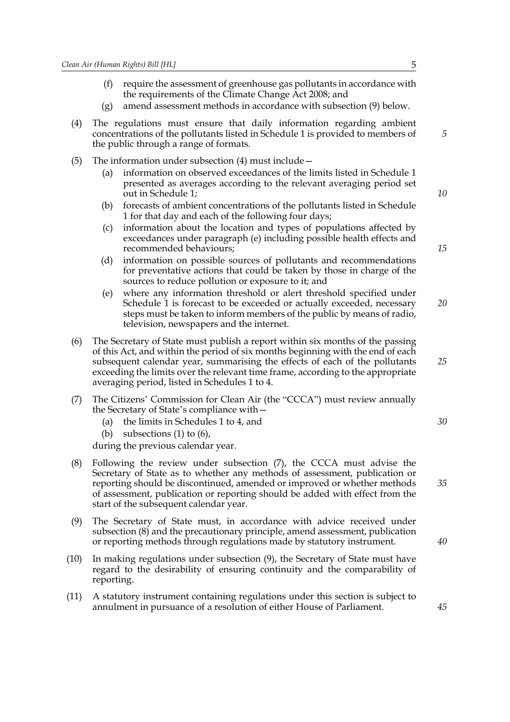- (f) require the assessment of greenhouse gas pollutants in accordance with the requirements of the Climate Change Act 2008; and
- (g) amend assessment methods in accordance with subsection (9) below.
- (4) The regulations must ensure that daily information regarding ambient concentrations of the pollutants listed in Schedule 1 is provided to members of the public through a range of formats.
- (5) The information under subsection (4) must include—
	- (a) information on observed exceedances of the limits listed in Schedule 1 presented as averages according to the relevant averaging period set out in Schedule 1;
	- (b) forecasts of ambient concentrations of the pollutants listed in Schedule 1 for that day and each of the following four days;
	- (c) information about the location and types of populations affected by exceedances under paragraph (e) including possible health effects and recommended behaviours;
	- (d) information on possible sources of pollutants and recommendations for preventative actions that could be taken by those in charge of the sources to reduce pollution or exposure to it; and
	- (e) where any information threshold or alert threshold specified under Schedule 1 is forecast to be exceeded or actually exceeded, necessary steps must be taken to inform members of the public by means of radio, television, newspapers and the internet. *20*
- (6) The Secretary of State must publish a report within six months of the passing of this Act, and within the period of six months beginning with the end of each subsequent calendar year, summarising the effects of each of the pollutants exceeding the limits over the relevant time frame, according to the appropriate averaging period, listed in Schedules 1 to 4.
- (7) The Citizens' Commission for Clean Air (the "CCCA") must review annually the Secretary of State's compliance with—
	- (a) the limits in Schedules 1 to 4, and
	- (b) subsections  $(1)$  to  $(6)$ ,

during the previous calendar year.

- (8) Following the review under subsection (7), the CCCA must advise the Secretary of State as to whether any methods of assessment, publication or reporting should be discontinued, amended or improved or whether methods of assessment, publication or reporting should be added with effect from the start of the subsequent calendar year.
- (9) The Secretary of State must, in accordance with advice received under subsection (8) and the precautionary principle, amend assessment, publication or reporting methods through regulations made by statutory instrument.
- (10) In making regulations under subsection (9), the Secretary of State must have regard to the desirability of ensuring continuity and the comparability of reporting.
- (11) A statutory instrument containing regulations under this section is subject to annulment in pursuance of a resolution of either House of Parliament.

*15*

*10*

*5*

*25*

*30*

*40*

*45*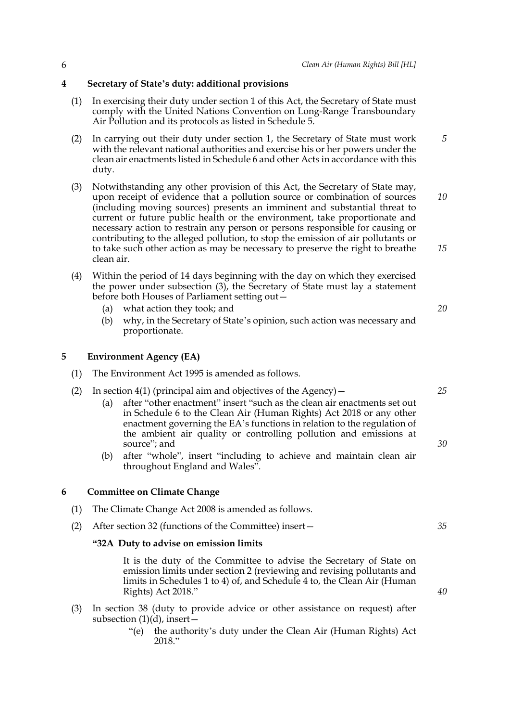### **4 Secretary of State's duty: additional provisions**

- (1) In exercising their duty under section 1 of this Act, the Secretary of State must comply with the United Nations Convention on Long-Range Transboundary Air Pollution and its protocols as listed in Schedule 5.
- (2) In carrying out their duty under section 1, the Secretary of State must work with the relevant national authorities and exercise his or her powers under the clean air enactments listed in Schedule 6 and other Acts in accordance with this duty. *5*
- (3) Notwithstanding any other provision of this Act, the Secretary of State may, upon receipt of evidence that a pollution source or combination of sources (including moving sources) presents an imminent and substantial threat to current or future public health or the environment, take proportionate and necessary action to restrain any person or persons responsible for causing or contributing to the alleged pollution, to stop the emission of air pollutants or to take such other action as may be necessary to preserve the right to breathe clean air. *10 15*
- (4) Within the period of 14 days beginning with the day on which they exercised the power under subsection (3), the Secretary of State must lay a statement before both Houses of Parliament setting out—
	- (a) what action they took; and
	- (b) why, in the Secretary of State's opinion, such action was necessary and proportionate.

### **5 Environment Agency (EA)**

- (1) The Environment Act 1995 is amended as follows.
- (2) In section 4(1) (principal aim and objectives of the Agency)  $-$ 
	- (a) after "other enactment" insert "such as the clean air enactments set out in Schedule 6 to the Clean Air (Human Rights) Act 2018 or any other enactment governing the EA's functions in relation to the regulation of the ambient air quality or controlling pollution and emissions at source"; and
	- (b) after "whole", insert "including to achieve and maintain clean air throughout England and Wales".

### **6 Committee on Climate Change**

- (1) The Climate Change Act 2008 is amended as follows.
- (2) After section 32 (functions of the Committee) insert—

### **"32A Duty to advise on emission limits**

It is the duty of the Committee to advise the Secretary of State on emission limits under section 2 (reviewing and revising pollutants and limits in Schedules 1 to 4) of, and Schedule 4 to, the Clean Air (Human Rights) Act 2018."

- (3) In section 38 (duty to provide advice or other assistance on request) after subsection (1)(d), insert—
	- "(e) the authority's duty under the Clean Air (Human Rights) Act 2018."

*20*

*25*

*30*

*40*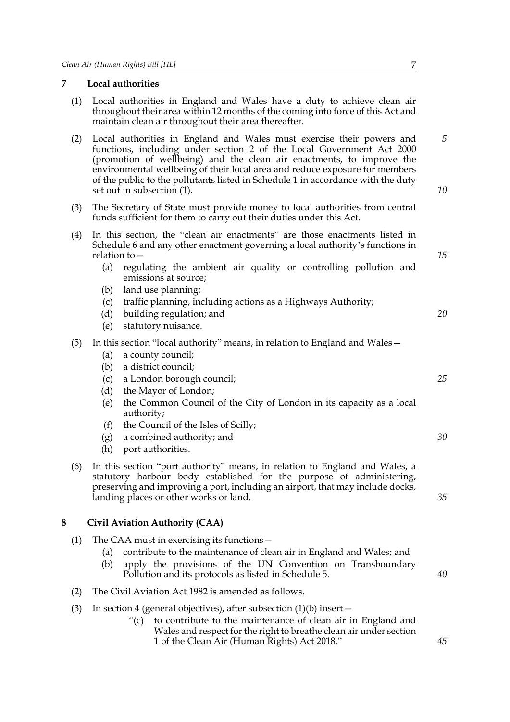### **7 Local authorities**

- (1) Local authorities in England and Wales have a duty to achieve clean air throughout their area within 12 months of the coming into force of this Act and maintain clean air throughout their area thereafter.
- (2) Local authorities in England and Wales must exercise their powers and functions, including under section 2 of the Local Government Act 2000 (promotion of wellbeing) and the clean air enactments, to improve the environmental wellbeing of their local area and reduce exposure for members of the public to the pollutants listed in Schedule 1 in accordance with the duty set out in subsection (1).
- (3) The Secretary of State must provide money to local authorities from central funds sufficient for them to carry out their duties under this Act.
- (4) In this section, the "clean air enactments" are those enactments listed in Schedule 6 and any other enactment governing a local authority's functions in relation to—
	- (a) regulating the ambient air quality or controlling pollution and emissions at source;
	- (b) land use planning;
	- (c) traffic planning, including actions as a Highways Authority;
	- (d) building regulation; and
	- (e) statutory nuisance.

### (5) In this section "local authority" means, in relation to England and Wales—

- (a) a county council;
- (b) a district council;
- (c) a London borough council;
- (d) the Mayor of London;
- (e) the Common Council of the City of London in its capacity as a local authority;
- (f) the Council of the Isles of Scilly;
- (g) a combined authority; and
- (h) port authorities.
- (6) In this section "port authority" means, in relation to England and Wales, a statutory harbour body established for the purpose of administering, preserving and improving a port, including an airport, that may include docks, landing places or other works or land.

### **8 Civil Aviation Authority (CAA)**

- (1) The CAA must in exercising its functions—
	- (a) contribute to the maintenance of clean air in England and Wales; and
	- (b) apply the provisions of the UN Convention on Transboundary Pollution and its protocols as listed in Schedule 5.
- (2) The Civil Aviation Act 1982 is amended as follows.
- (3) In section 4 (general objectives), after subsection  $(1)(b)$  insert
	- "(c) to contribute to the maintenance of clean air in England and Wales and respect for the right to breathe clean air under section 1 of the Clean Air (Human Rights) Act 2018."

*5*

*10*

*15*

*20*

*25*

*30*

*35*

*40*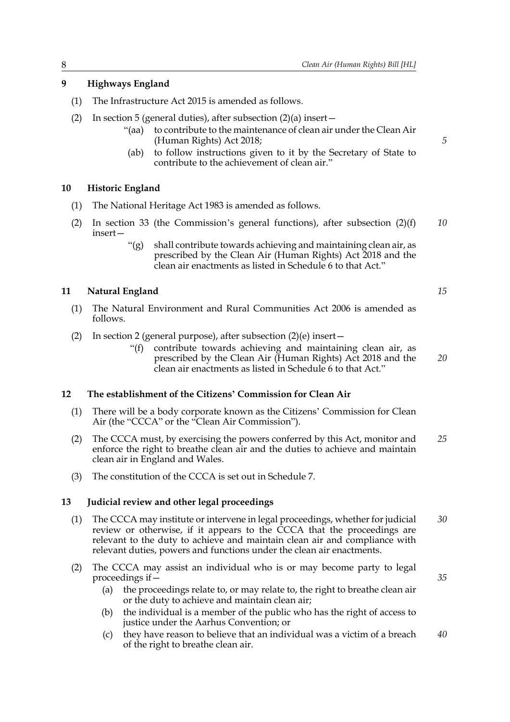### **9 Highways England**

- (1) The Infrastructure Act 2015 is amended as follows.
- (2) In section 5 (general duties), after subsection  $(2)(a)$  insert
	- "(aa) to contribute to the maintenance of clean air under the Clean Air (Human Rights) Act 2018;
	- (ab) to follow instructions given to it by the Secretary of State to contribute to the achievement of clean air."

### **10 Historic England**

- (1) The National Heritage Act 1983 is amended as follows.
- (2) In section 33 (the Commission's general functions), after subsection  $(2)(f)$ insert— *10*
	- "(g) shall contribute towards achieving and maintaining clean air, as prescribed by the Clean Air (Human Rights) Act 2018 and the clean air enactments as listed in Schedule 6 to that Act."

### **11 Natural England**

- (1) The Natural Environment and Rural Communities Act 2006 is amended as follows.
- (2) In section 2 (general purpose), after subsection (2)(e) insert—
	- "(f) contribute towards achieving and maintaining clean air, as prescribed by the Clean Air (Human Rights) Act 2018 and the clean air enactments as listed in Schedule 6 to that Act."

### **12 The establishment of the Citizens' Commission for Clean Air**

- (1) There will be a body corporate known as the Citizens' Commission for Clean Air (the "CCCA" or the "Clean Air Commission").
- (2) The CCCA must, by exercising the powers conferred by this Act, monitor and enforce the right to breathe clean air and the duties to achieve and maintain clean air in England and Wales. *25*
- (3) The constitution of the CCCA is set out in Schedule 7.

### **13 Judicial review and other legal proceedings**

- (1) The CCCA may institute or intervene in legal proceedings, whether for judicial review or otherwise, if it appears to the CCCA that the proceedings are relevant to the duty to achieve and maintain clean air and compliance with relevant duties, powers and functions under the clean air enactments. *30*
- (2) The CCCA may assist an individual who is or may become party to legal proceedings if—
	- (a) the proceedings relate to, or may relate to, the right to breathe clean air or the duty to achieve and maintain clean air;
	- (b) the individual is a member of the public who has the right of access to justice under the Aarhus Convention; or
	- (c) they have reason to believe that an individual was a victim of a breach of the right to breathe clean air. *40*

*5*

*20*

*15*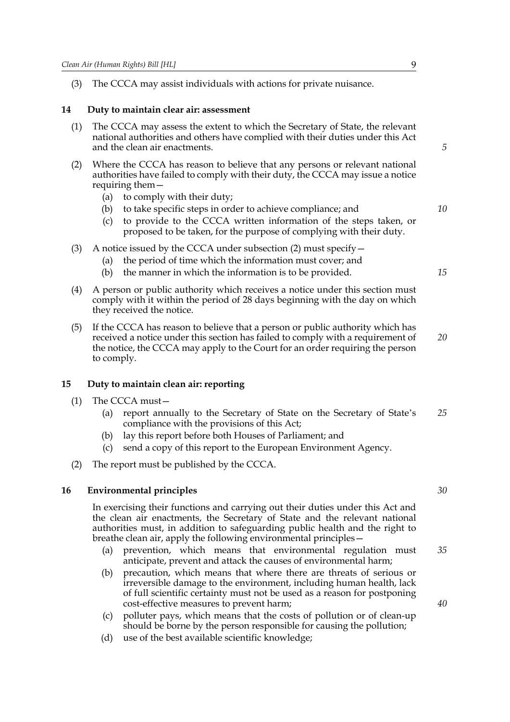(3) The CCCA may assist individuals with actions for private nuisance.

### **14 Duty to maintain clear air: assessment**

- (1) The CCCA may assess the extent to which the Secretary of State, the relevant national authorities and others have complied with their duties under this Act and the clean air enactments.
- (2) Where the CCCA has reason to believe that any persons or relevant national authorities have failed to comply with their duty, the CCCA may issue a notice requiring them—
	- (a) to comply with their duty;
	- (b) to take specific steps in order to achieve compliance; and
	- (c) to provide to the CCCA written information of the steps taken, or proposed to be taken, for the purpose of complying with their duty.
- (3) A notice issued by the CCCA under subsection (2) must specify—
	- (a) the period of time which the information must cover; and
	- (b) the manner in which the information is to be provided.
- (4) A person or public authority which receives a notice under this section must comply with it within the period of 28 days beginning with the day on which they received the notice.
- (5) If the CCCA has reason to believe that a person or public authority which has received a notice under this section has failed to comply with a requirement of the notice, the CCCA may apply to the Court for an order requiring the person to comply. *20*

### **15 Duty to maintain clean air: reporting**

- (1) The CCCA must—
	- (a) report annually to the Secretary of State on the Secretary of State's compliance with the provisions of this Act; *25*
	- (b) lay this report before both Houses of Parliament; and
	- (c) send a copy of this report to the European Environment Agency.
- (2) The report must be published by the CCCA.

### **16 Environmental principles**

In exercising their functions and carrying out their duties under this Act and the clean air enactments, the Secretary of State and the relevant national authorities must, in addition to safeguarding public health and the right to breathe clean air, apply the following environmental principles—

- (a) prevention, which means that environmental regulation must anticipate, prevent and attack the causes of environmental harm; *35*
- (b) precaution, which means that where there are threats of serious or irreversible damage to the environment, including human health, lack of full scientific certainty must not be used as a reason for postponing cost-effective measures to prevent harm;
- (c) polluter pays, which means that the costs of pollution or of clean-up should be borne by the person responsible for causing the pollution;
- (d) use of the best available scientific knowledge;

*30*

*5*

*10*

*15*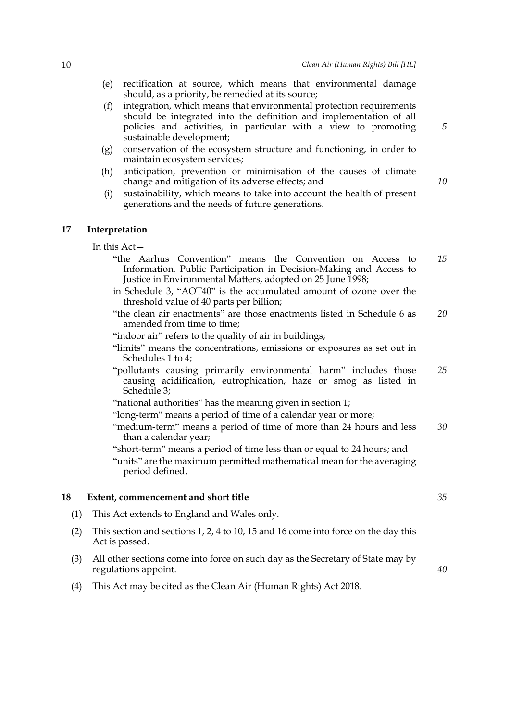- (e) rectification at source, which means that environmental damage should, as a priority, be remedied at its source;
- (f) integration, which means that environmental protection requirements should be integrated into the definition and implementation of all policies and activities, in particular with a view to promoting sustainable development;
- (g) conservation of the ecosystem structure and functioning, in order to maintain ecosystem services;
- (h) anticipation, prevention or minimisation of the causes of climate change and mitigation of its adverse effects; and
- (i) sustainability, which means to take into account the health of present generations and the needs of future generations.

### **17 Interpretation**

In this Act—

- "the Aarhus Convention" means the Convention on Access to Information, Public Participation in Decision-Making and Access to Justice in Environmental Matters, adopted on 25 June 1998; *15*
- in Schedule 3, "AOT40" is the accumulated amount of ozone over the threshold value of 40 parts per billion;
- "the clean air enactments" are those enactments listed in Schedule 6 as amended from time to time; *20*
- "indoor air" refers to the quality of air in buildings;
- "limits" means the concentrations, emissions or exposures as set out in Schedules 1 to 4;
- "pollutants causing primarily environmental harm" includes those causing acidification, eutrophication, haze or smog as listed in Schedule 3; *25*
- "national authorities" has the meaning given in section 1;
- "long-term" means a period of time of a calendar year or more;
- "medium-term" means a period of time of more than 24 hours and less than a calendar year; *30*
- "short-term" means a period of time less than or equal to 24 hours; and "units" are the maximum permitted mathematical mean for the averaging period defined.

### **18 Extent, commencement and short title**

- (1) This Act extends to England and Wales only.
- (2) This section and sections 1, 2, 4 to 10, 15 and 16 come into force on the day this Act is passed.
- (3) All other sections come into force on such day as the Secretary of State may by regulations appoint.
- (4) This Act may be cited as the Clean Air (Human Rights) Act 2018.

*5*

*10*

*35*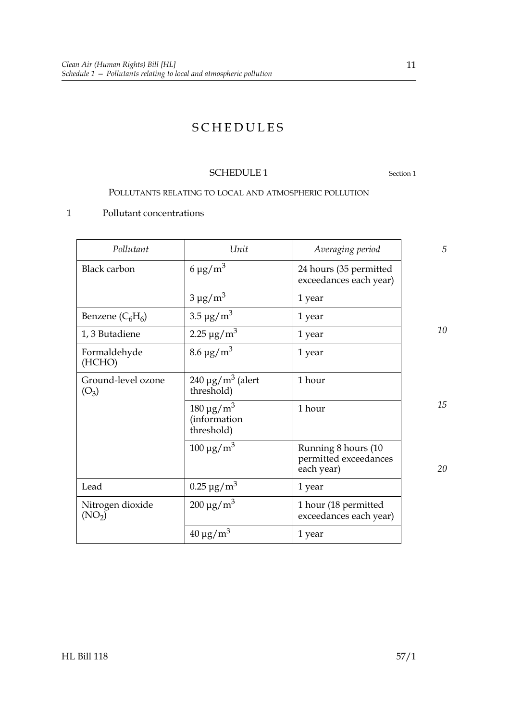### SCHEDULES

### SCHEDULE 1 Section 1

### POLLUTANTS RELATING TO LOCAL AND ATMOSPHERIC POLLUTION

### 1 Pollutant concentrations

| Pollutant                              | Unit                                                       | Averaging period                                           | 5  |
|----------------------------------------|------------------------------------------------------------|------------------------------------------------------------|----|
| <b>Black carbon</b>                    | $6 \mu g/m^3$                                              | 24 hours (35 permitted<br>exceedances each year)           |    |
|                                        | $3 \mu g/m^3$                                              | 1 year                                                     |    |
| Benzene $(C_6H_6)$                     | $3.5 \,\mathrm{\mu g/m^3}$                                 | 1 year                                                     |    |
| 1, 3 Butadiene                         | 2.25 $\mu$ g/m <sup>3</sup>                                | 1 year                                                     | 10 |
| Formaldehyde<br>(HCHO)                 | $8.6 \,\mathrm{\mu g/m^3}$                                 | 1 year                                                     |    |
| Ground-level ozone<br>$(O_3)$          | $240 \mu g/m^3$ (alert<br>threshold)                       | 1 hour                                                     |    |
|                                        | $180 \,\mathrm{\upmu g/m^3}$<br>(information<br>threshold) | 1 hour                                                     | 15 |
|                                        | $100 \mu g/m^3$                                            | Running 8 hours (10<br>permitted exceedances<br>each year) | 20 |
| Lead                                   | $0.25 \,\mathrm{\mu g/m^3}$                                | 1 year                                                     |    |
| Nitrogen dioxide<br>(NO <sub>2</sub> ) | $200 \mu g/m^3$                                            | 1 hour (18 permitted<br>exceedances each year)             |    |
|                                        | $40 \mu g/m^3$                                             | 1 year                                                     |    |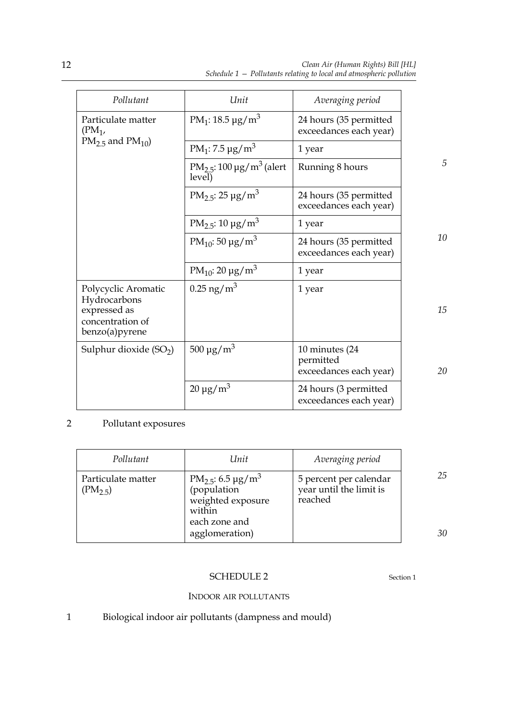| Pollutant                                                          | Unit                                                | Averaging period                                       |    |
|--------------------------------------------------------------------|-----------------------------------------------------|--------------------------------------------------------|----|
| Particulate matter<br>$(PM_1,$                                     | PM <sub>1</sub> : 18.5 $\mu$ g/m <sup>3</sup>       | 24 hours (35 permitted<br>exceedances each year)       |    |
| $PM2.5$ and $PM10$ )                                               | PM <sub>1</sub> : 7.5 $\mu$ g/m <sup>3</sup>        | 1 year                                                 |    |
|                                                                    | $PM_{2.5}$ : 100 µg/m <sup>3</sup> (alert<br>level) | Running 8 hours                                        | 5  |
|                                                                    | $PM_{2.5}: 25 \mu g/m^3$                            | 24 hours (35 permitted<br>exceedances each year)       |    |
|                                                                    | $PM_{2.5}: 10 \mu g/m^3$                            | 1 year                                                 |    |
|                                                                    | PM <sub>10</sub> : 50 µg/m <sup>3</sup>             | 24 hours (35 permitted<br>exceedances each year)       | 10 |
|                                                                    | PM <sub>10</sub> : 20 $\mu$ g/m <sup>3</sup>        | 1 year                                                 |    |
| Polycyclic Aromatic                                                | $0.25$ ng/m <sup>3</sup>                            | 1 year                                                 |    |
| Hydrocarbons<br>expressed as<br>concentration of<br>benzo(a)pyrene |                                                     |                                                        | 15 |
| Sulphur dioxide $(SO2)$                                            | $500 \,\mathrm{\mu g/m^3}$                          | 10 minutes (24)<br>permitted<br>exceedances each year) | 20 |
|                                                                    | $20 \mu g/m^3$                                      | 24 hours (3 permitted<br>exceedances each year)        |    |

### 2 Pollutant exposures

| Pollutant                          | Unit                                                                                                                | Averaging period                                             |          |
|------------------------------------|---------------------------------------------------------------------------------------------------------------------|--------------------------------------------------------------|----------|
| Particulate matter<br>$(PM_{2,5})$ | $PM_{2.5}$ : 6.5 µg/m <sup>3</sup><br>(population<br>weighted exposure<br>within<br>each zone and<br>agglomeration) | 5 percent per calendar<br>year until the limit is<br>reached | 25<br>30 |

### SCHEDULE 2 Section 1

### INDOOR AIR POLLUTANTS

1 Biological indoor air pollutants (dampness and mould)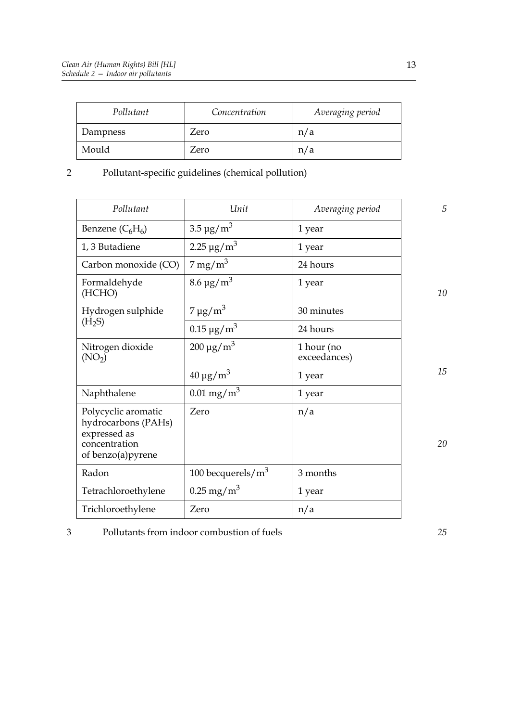| Pollutant | Concentration | Averaging period |
|-----------|---------------|------------------|
| Dampness  | Zero          | n/a              |
| Mould     | Zero          | n/a              |

### 2 Pollutant-specific guidelines (chemical pollution)

| Pollutant                                                                                        | Unit                          | Averaging period           | 5  |
|--------------------------------------------------------------------------------------------------|-------------------------------|----------------------------|----|
| Benzene $(C_6H_6)$                                                                               | $3.5 \,\mathrm{\mu g/m^3}$    | 1 year                     |    |
| 1, 3 Butadiene                                                                                   | 2.25 $\mu$ g/m <sup>3</sup>   | 1 year                     |    |
| Carbon monoxide (CO)                                                                             | $7 \,\mathrm{mg/m^3}$         | 24 hours                   |    |
| Formaldehyde<br>(HCHO)                                                                           | $8.6 \,\mathrm{\mu g/m^3}$    | 1 year                     | 10 |
| Hydrogen sulphide                                                                                | $7 \mu g/m^3$                 | 30 minutes                 |    |
| (H <sub>2</sub> S)                                                                               | $0.15 \,\mathrm{\upmu g/m^3}$ | 24 hours                   |    |
| Nitrogen dioxide<br>(NO <sub>2</sub> )                                                           | $200 \,\mathrm{\upmu g/m^3}$  | 1 hour (no<br>exceedances) |    |
|                                                                                                  | $40 \mu g/m^3$                | 1 year                     | 15 |
| Naphthalene                                                                                      | $0.01 \,\mathrm{mg/m^3}$      | 1 year                     |    |
| Polycyclic aromatic<br>hydrocarbons (PAHs)<br>expressed as<br>concentration<br>of benzo(a)pyrene | Zero                          | n/a                        | 20 |
| Radon                                                                                            | 100 becquerels/ $m3$          | 3 months                   |    |
| Tetrachloroethylene                                                                              | $0.25 \,\mathrm{mg/m^3}$      | 1 year                     |    |
| Trichloroethylene                                                                                | Zero                          | n/a                        |    |

3 Pollutants from indoor combustion of fuels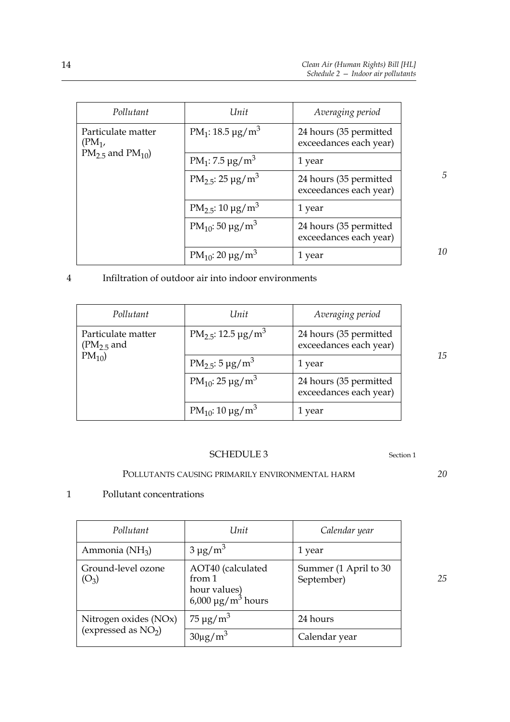| Pollutant                      | Unit                                          | Averaging period                                 |
|--------------------------------|-----------------------------------------------|--------------------------------------------------|
| Particulate matter<br>$(PM_1,$ | PM <sub>1</sub> : 18.5 $\mu$ g/m <sup>3</sup> | 24 hours (35 permitted<br>exceedances each year) |
| $PM_{2.5}$ and $PM_{10}$ )     | PM <sub>1</sub> : 7.5 $\mu$ g/m <sup>3</sup>  | 1 year                                           |
|                                | $PM_{2.5}: 25 \mu g/m^3$                      | 24 hours (35 permitted<br>exceedances each year) |
|                                | PM <sub>2.5</sub> : $10 \mu g/m^3$            | 1 year                                           |
|                                | PM <sub>10</sub> : 50 µg/m <sup>3</sup>       | 24 hours (35 permitted<br>exceedances each year) |
|                                | PM <sub>10</sub> : 20 $\mu$ g/m <sup>3</sup>  | 1 year                                           |

### 4 Infiltration of outdoor air into indoor environments

| Pollutant                          | Unit                                         | Averaging period                                 |
|------------------------------------|----------------------------------------------|--------------------------------------------------|
| Particulate matter<br>$(PM2.5$ and | $PM_2 = 12.5 \text{ µg/m}^3$                 | 24 hours (35 permitted<br>exceedances each year) |
| $PM_{10}$                          | $PM_{2.5}: 5 \mu g/m^3$                      | 1 year                                           |
|                                    | PM <sub>10</sub> : 25 $\mu$ g/m <sup>3</sup> | 24 hours (35 permitted<br>exceedances each year) |
|                                    | PM <sub>10</sub> : 10 $\mu$ g/m <sup>3</sup> | 1 year                                           |

### SCHEDULE 3 Section 1

### POLLUTANTS CAUSING PRIMARILY ENVIRONMENTAL HARM

### 1 Pollutant concentrations

| Pollutant                     | Unit                                                                   | Calendar year                       |
|-------------------------------|------------------------------------------------------------------------|-------------------------------------|
| Ammonia (NH <sub>3</sub> )    | $3 \mu g/m^3$                                                          | 1 year                              |
| Ground-level ozone<br>$(O_3)$ | AOT40 (calculated<br>from 1<br>hour values)<br>$6,000 \mu g/m^3$ hours | Summer (1 April to 30<br>September) |
| Nitrogen oxides (NOx)         | $75 \mu g/m^3$                                                         | 24 hours                            |
| (expressed as $NO2$ )         | $30\mu g/m^3$                                                          | Calendar year                       |

*20*

*10*

*5*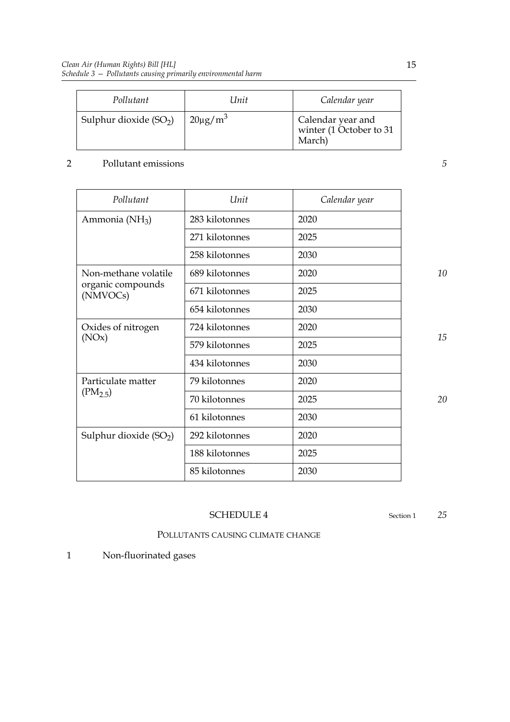| Pollutant               | Unit                     | Calendar year                                          |
|-------------------------|--------------------------|--------------------------------------------------------|
| Sulphur dioxide $(SO2)$ | $20\mu$ g/m <sup>3</sup> | Calendar year and<br>winter (1 October to 31<br>March) |

### 2 Pollutant emissions

| Pollutant                     | Unit           | Calendar year |
|-------------------------------|----------------|---------------|
| Ammonia (NH <sub>3</sub> )    | 283 kilotonnes | 2020          |
|                               | 271 kilotonnes | 2025          |
|                               | 258 kilotonnes | 2030          |
| Non-methane volatile          | 689 kilotonnes | 2020          |
| organic compounds<br>(NMVOCs) | 671 kilotonnes | 2025          |
|                               | 654 kilotonnes | 2030          |
| Oxides of nitrogen<br>(NOx)   | 724 kilotonnes | 2020          |
|                               | 579 kilotonnes | 2025          |
|                               | 434 kilotonnes | 2030          |
| Particulate matter            | 79 kilotonnes  | 2020          |
| $(PM_{2.5})$                  | 70 kilotonnes  | 2025          |
|                               | 61 kilotonnes  | 2030          |
| Sulphur dioxide $(SO2)$       | 292 kilotonnes | 2020          |
|                               | 188 kilotonnes | 2025          |
|                               | 85 kilotonnes  | 2030          |

*10*

*5*

### *15*

*20*

### SCHEDULE 4 Section 1

*25*

POLLUTANTS CAUSING CLIMATE CHANGE

1 Non-fluorinated gases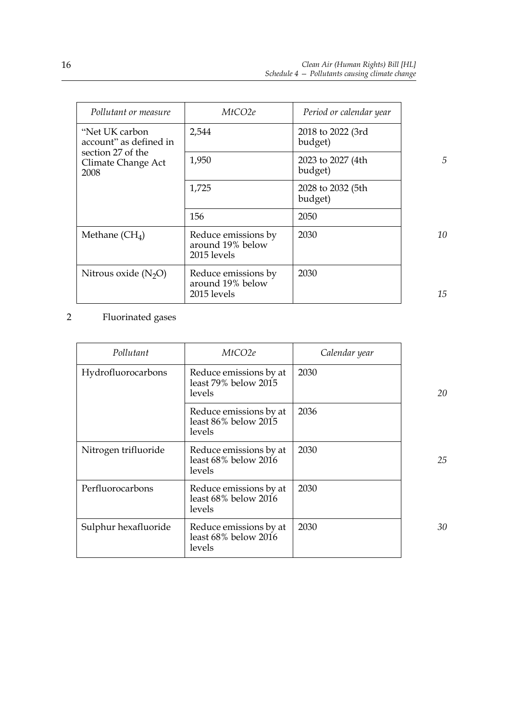| Pollutant or measure                            | MtCO2e                                                 | Period or calendar year      |
|-------------------------------------------------|--------------------------------------------------------|------------------------------|
| "Net UK carbon"<br>account" as defined in       | 2,544                                                  | 2018 to 2022 (3rd<br>budget) |
| section 27 of the<br>Climate Change Act<br>2008 | 1,950                                                  | 2023 to 2027 (4th<br>budget) |
|                                                 | 1,725                                                  | 2028 to 2032 (5th<br>budget) |
|                                                 | 156                                                    | 2050                         |
| Methane $(CH4)$                                 | Reduce emissions by<br>around 19% below<br>2015 levels | 2030                         |
| Nitrous oxide $(N_2O)$                          | Reduce emissions by<br>around 19% below<br>2015 levels | 2030                         |

2 Fluorinated gases

| Pollutant            | MtCO <sub>2e</sub>                                       | Calendar year |    |
|----------------------|----------------------------------------------------------|---------------|----|
| Hydrofluorocarbons   | Reduce emissions by at<br>least 79% below 2015<br>levels | 2030          | 20 |
|                      | Reduce emissions by at<br>least 86% below 2015<br>levels | 2036          |    |
| Nitrogen trifluoride | Reduce emissions by at<br>least 68% below 2016<br>levels | 2030          | 25 |
| Perfluorocarbons     | Reduce emissions by at<br>least 68% below 2016<br>levels | 2030          |    |
| Sulphur hexafluoride | Reduce emissions by at<br>least 68% below 2016<br>levels | 2030          | 30 |

*15*

*10*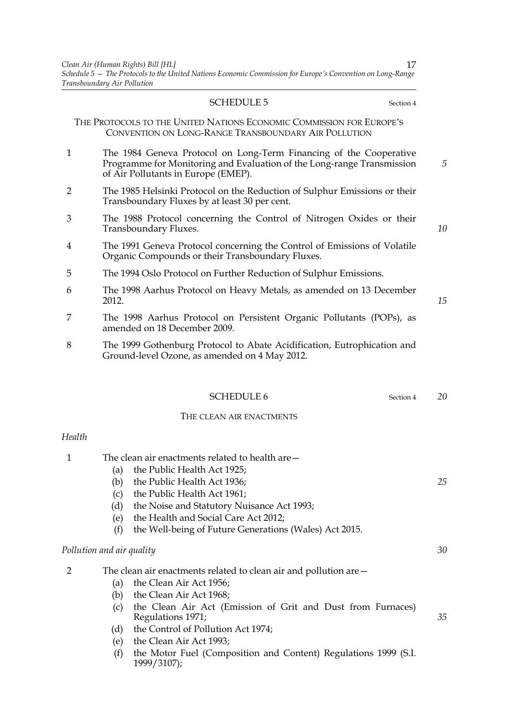#### SCHEDULE 5 Section 4

THE PROTOCOLS TO THE UNITED NATIONS ECONOMIC COMMISSION FOR EUROPE'S CONVENTION ON LONG-RANGE TRANSBOUNDARY AIR POLLUTION

- 1 The 1984 Geneva Protocol on Long-Term Financing of the Cooperative Programme for Monitoring and Evaluation of the Long-range Transmission of Air Pollutants in Europe (EMEP).
- 2 The 1985 Helsinki Protocol on the Reduction of Sulphur Emissions or their Transboundary Fluxes by at least 30 per cent.
- 3 The 1988 Protocol concerning the Control of Nitrogen Oxides or their Transboundary Fluxes.
- 4 The 1991 Geneva Protocol concerning the Control of Emissions of Volatile Organic Compounds or their Transboundary Fluxes.
- 5 The 1994 Oslo Protocol on Further Reduction of Sulphur Emissions.
- 6 The 1998 Aarhus Protocol on Heavy Metals, as amended on 13 December 2012.
- 7 The 1998 Aarhus Protocol on Persistent Organic Pollutants (POPs), as amended on 18 December 2009.
- 8 The 1999 Gothenburg Protocol to Abate Acidification, Eutrophication and Ground-level Ozone, as amended on 4 May 2012.

|              |                           | <b>SCHEDULE 6</b><br>Section 4                                                   | 20 |
|--------------|---------------------------|----------------------------------------------------------------------------------|----|
|              |                           | THE CLEAN AIR ENACTMENTS                                                         |    |
| Health       |                           |                                                                                  |    |
| $\mathbf{1}$ |                           | The clean air enactments related to health are -                                 |    |
|              | (a)                       | the Public Health Act 1925;                                                      |    |
|              | (b)                       | the Public Health Act 1936;                                                      | 25 |
|              | (c)                       | the Public Health Act 1961;                                                      |    |
|              | (d)                       | the Noise and Statutory Nuisance Act 1993;                                       |    |
|              | (e)                       | the Health and Social Care Act 2012;                                             |    |
|              | (f)                       | the Well-being of Future Generations (Wales) Act 2015.                           |    |
|              | Pollution and air quality |                                                                                  | 30 |
| 2            |                           | The clean air enactments related to clean air and pollution are –                |    |
|              | (a)                       | the Clean Air Act 1956;                                                          |    |
|              | (b)                       | the Clean Air Act 1968;                                                          |    |
|              | (c)                       | the Clean Air Act (Emission of Grit and Dust from Furnaces)<br>Regulations 1971; | 35 |
|              | (d)                       | the Control of Pollution Act 1974;                                               |    |
|              | (e)                       | the Clean Air Act 1993;                                                          |    |
|              | (f)                       | the Motor Fuel (Composition and Content) Regulations 1999 (S.I.<br>1999/3107);   |    |

*10*

*5*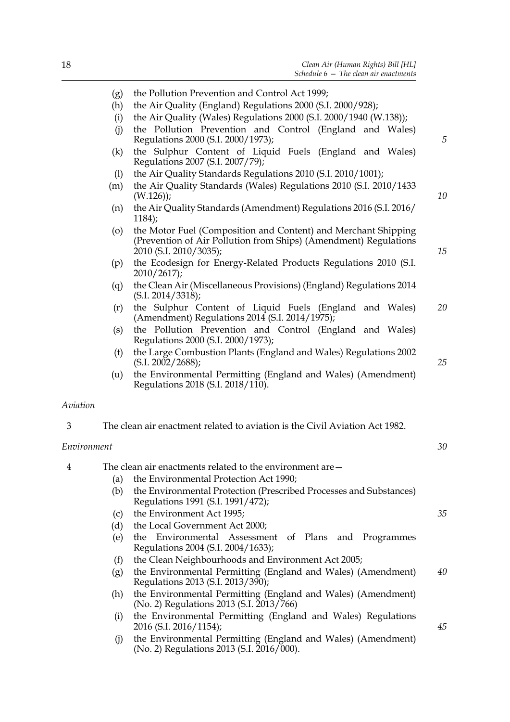- (h) the Air Quality (England) Regulations 2000 (S.I. 2000/928);
- (i) the Air Quality (Wales) Regulations 2000 (S.I. 2000/1940 (W.138));
- (j) the Pollution Prevention and Control (England and Wales) Regulations 2000 (S.I. 2000/1973);
- (k) the Sulphur Content of Liquid Fuels (England and Wales) Regulations 2007 (S.I. 2007/79);
- (l) the Air Quality Standards Regulations 2010 (S.I. 2010/1001);
- (m) the Air Quality Standards (Wales) Regulations 2010 (S.I. 2010/1433 (W.126));
- (n) the Air Quality Standards (Amendment) Regulations 2016 (S.I. 2016/ 1184);
- (o) the Motor Fuel (Composition and Content) and Merchant Shipping (Prevention of Air Pollution from Ships) (Amendment) Regulations 2010 (S.I. 2010/3035);
- (p) the Ecodesign for Energy-Related Products Regulations 2010 (S.I. 2010/2617);
- (q) the Clean Air (Miscellaneous Provisions) (England) Regulations 2014 (S.I. 2014/3318);
- (r) the Sulphur Content of Liquid Fuels (England and Wales) (Amendment) Regulations 2014 (S.I. 2014/1975); *20*
- (s) the Pollution Prevention and Control (England and Wales) Regulations 2000 (S.I. 2000/1973);
- (t) the Large Combustion Plants (England and Wales) Regulations 2002 (S.I. 2002/2688);
- (u) the Environmental Permitting (England and Wales) (Amendment) Regulations 2018 (S.I. 2018/110).

### *Aviation*

3 The clean air enactment related to aviation is the Civil Aviation Act 1982.

### *Environment*

| 4 |     | The clean air enactments related to the environment are –                                                |    |
|---|-----|----------------------------------------------------------------------------------------------------------|----|
|   | (a) | the Environmental Protection Act 1990;                                                                   |    |
|   | (b) | the Environmental Protection (Prescribed Processes and Substances)<br>Regulations 1991 (S.I. 1991/472);  |    |
|   | (c) | the Environment Act 1995;                                                                                | 35 |
|   | (d) | the Local Government Act 2000;                                                                           |    |
|   | (e) | the Environmental Assessment of Plans and Programmes<br>Regulations 2004 (S.I. 2004/1633);               |    |
|   | (f) | the Clean Neighbourhoods and Environment Act 2005;                                                       |    |
|   | (g) | the Environmental Permitting (England and Wales) (Amendment)<br>Regulations 2013 (S.I. 2013/390);        | 40 |
|   | (h) | the Environmental Permitting (England and Wales) (Amendment)<br>(No. 2) Regulations 2013 (S.I. 2013/766) |    |
|   | (i) | the Environmental Permitting (England and Wales) Regulations<br>2016 (S.I. 2016/1154);                   | 45 |
|   | (J) | the Environmental Permitting (England and Wales) (Amendment)                                             |    |

(No. 2) Regulations 2013 (S.I. 2016/000).

*10*

*15*

*5*

*25*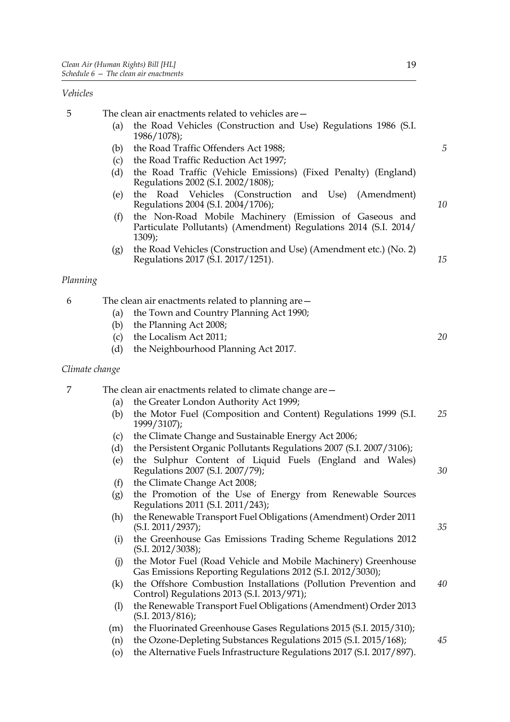### *Vehicles*

| 5              |     | The clean air enactments related to vehicles are -                                                                                   |    |
|----------------|-----|--------------------------------------------------------------------------------------------------------------------------------------|----|
|                | (a) | the Road Vehicles (Construction and Use) Regulations 1986 (S.I.<br>$1986/1078$ ;                                                     |    |
|                | (b) | the Road Traffic Offenders Act 1988;                                                                                                 | 5  |
|                | (c) | the Road Traffic Reduction Act 1997;                                                                                                 |    |
|                | (d) | the Road Traffic (Vehicle Emissions) (Fixed Penalty) (England)<br>Regulations 2002 (S.I. 2002/1808);                                 |    |
|                | (e) | Road Vehicles (Construction and Use) (Amendment)<br>the<br>Regulations 2004 (S.I. 2004/1706);                                        | 10 |
|                | (f) | the Non-Road Mobile Machinery (Emission of Gaseous and<br>Particulate Pollutants) (Amendment) Regulations 2014 (S.I. 2014/<br>1309); |    |
|                | (g) | the Road Vehicles (Construction and Use) (Amendment etc.) (No. 2)<br>Regulations 2017 (S.I. 2017/1251).                              | 15 |
| Planning       |     |                                                                                                                                      |    |
| 6              |     | The clean air enactments related to planning are-                                                                                    |    |
|                | (a) | the Town and Country Planning Act 1990;                                                                                              |    |
|                | (b) | the Planning Act 2008;                                                                                                               |    |
|                | (c) | the Localism Act 2011;                                                                                                               | 20 |
|                | (d) | the Neighbourhood Planning Act 2017.                                                                                                 |    |
| Climate change |     |                                                                                                                                      |    |
| 7              |     | The clean air enactments related to climate change are –                                                                             |    |
|                | (a) | the Greater London Authority Act 1999;                                                                                               |    |
|                | (b) | the Motor Fuel (Composition and Content) Regulations 1999 (S.I.<br>1999/3107);                                                       | 25 |
|                | (c) | the Climate Change and Sustainable Energy Act 2006;                                                                                  |    |
|                | (d) | the Persistent Organic Pollutants Regulations 2007 (S.I. 2007/3106);                                                                 |    |
|                | (e) | the Sulphur Content of Liquid Fuels (England and Wales)<br>Regulations 2007 (S.I. 2007/79);                                          | 30 |
|                | (f) | the Climate Change Act 2008;                                                                                                         |    |
|                | (g) | the Promotion of the Use of Energy from Renewable Sources<br>Regulations 2011 (S.I. 2011/243);                                       |    |
|                | (h) | the Renewable Transport Fuel Obligations (Amendment) Order 2011<br>(S.I. 2011/2937);                                                 | 35 |
|                | (i) | the Greenhouse Gas Emissions Trading Scheme Regulations 2012<br>(S.I. 2012/3038);                                                    |    |
|                | (i) | the Motor Fuel (Road Vehicle and Mobile Machinery) Greenhouse<br>Gas Emissions Reporting Regulations 2012 (S.I. 2012/3030);          |    |
|                | (k) | the Offshore Combustion Installations (Pollution Prevention and                                                                      | 40 |
|                | (1) | Control) Regulations 2013 (S.I. 2013/971);<br>the Renewable Transport Fuel Obligations (Amendment) Order 2013                        |    |
|                |     | (S.I. 2013/816);                                                                                                                     |    |
|                | (m) | the Fluorinated Greenhouse Gases Regulations 2015 (S.I. 2015/310);                                                                   |    |
|                | (n) | the Ozone-Depleting Substances Regulations 2015 (S.I. 2015/168);                                                                     | 45 |

(o) the Alternative Fuels Infrastructure Regulations 2017 (S.I. 2017/897).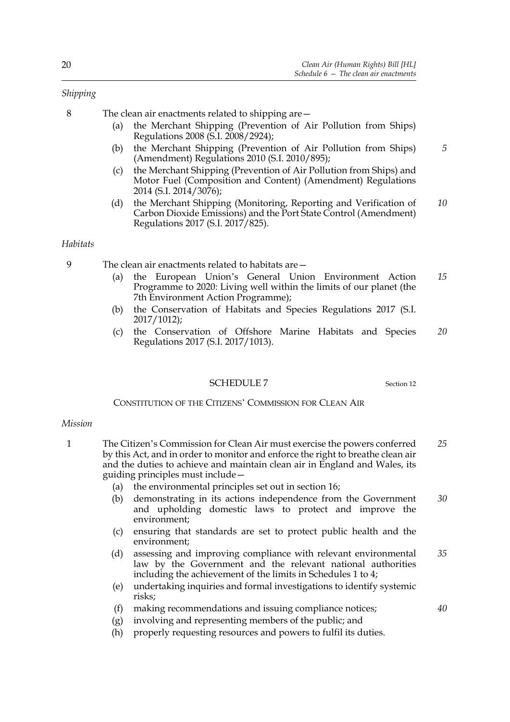### *Shipping*

8 The clean air enactments related to shipping are—

- (a) the Merchant Shipping (Prevention of Air Pollution from Ships) Regulations 2008 (S.I. 2008/2924);
- (b) the Merchant Shipping (Prevention of Air Pollution from Ships) (Amendment) Regulations 2010 (S.I. 2010/895); *5*
- (c) the Merchant Shipping (Prevention of Air Pollution from Ships) and Motor Fuel (Composition and Content) (Amendment) Regulations 2014 (S.I. 2014/3076);
- (d) the Merchant Shipping (Monitoring, Reporting and Verification of Carbon Dioxide Emissions) and the Port State Control (Amendment) Regulations 2017 (S.I. 2017/825). *10*

### *Habitats*

9 The clean air enactments related to habitats are—

- (a) the European Union's General Union Environment Action Programme to 2020: Living well within the limits of our planet (the 7th Environment Action Programme); *15*
- (b) the Conservation of Habitats and Species Regulations 2017 (S.I. 2017/1012);
- (c) the Conservation of Offshore Marine Habitats and Species Regulations 2017 (S.I. 2017/1013). *20*

### SCHEDULE 7 Section 12

*40*

### CONSTITUTION OF THE CITIZENS' COMMISSION FOR CLEAN AIR

### *Mission*

- 1 The Citizen's Commission for Clean Air must exercise the powers conferred by this Act, and in order to monitor and enforce the right to breathe clean air and the duties to achieve and maintain clean air in England and Wales, its guiding principles must include— *25*
	- (a) the environmental principles set out in section 16;
	- (b) demonstrating in its actions independence from the Government and upholding domestic laws to protect and improve the environment; *30*
	- (c) ensuring that standards are set to protect public health and the environment;
	- (d) assessing and improving compliance with relevant environmental law by the Government and the relevant national authorities including the achievement of the limits in Schedules 1 to 4; *35*
	- (e) undertaking inquiries and formal investigations to identify systemic risks;
	- (f) making recommendations and issuing compliance notices;
	- (g) involving and representing members of the public; and
	- (h) properly requesting resources and powers to fulfil its duties.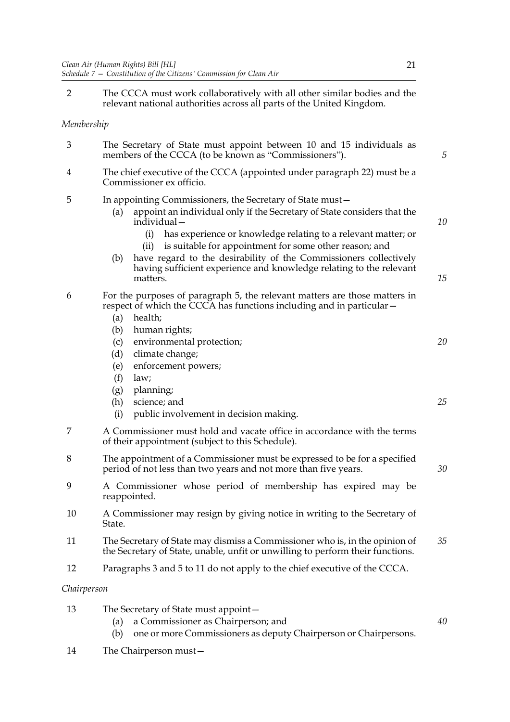2 The CCCA must work collaboratively with all other similar bodies and the relevant national authorities across all parts of the United Kingdom.

### *Membership*

| 3              | The Secretary of State must appoint between 10 and 15 individuals as<br>members of the CCCA (to be known as "Commissioners").                              | 5 |
|----------------|------------------------------------------------------------------------------------------------------------------------------------------------------------|---|
| $\overline{4}$ | The chief executive of the CCCA (appointed under paragraph 22) must be a<br>Commissioner ex officio.                                                       |   |
| .5             | In appointing Commissioners, the Secretary of State must-<br>appoint an individual only if the Secretary of State considers that the<br>(a)<br>individual- |   |

- (i) has experience or knowledge relating to a relevant matter; or
- (ii) is suitable for appointment for some other reason; and
- (b) have regard to the desirability of the Commissioners collectively having sufficient experience and knowledge relating to the relevant matters.

### 6 For the purposes of paragraph 5, the relevant matters are those matters in respect of which the CCCA has functions including and in particular—

- (a) health;
- (b) human rights;
- (c) environmental protection;
- (d) climate change;
- (e) enforcement powers;
- (f) law;
- (g) planning;
- (h) science; and
- (i) public involvement in decision making.
- 7 A Commissioner must hold and vacate office in accordance with the terms of their appointment (subject to this Schedule).
- 8 The appointment of a Commissioner must be expressed to be for a specified period of not less than two years and not more than five years.
- 9 A Commissioner whose period of membership has expired may be reappointed.
- 10 A Commissioner may resign by giving notice in writing to the Secretary of State.
- 11 The Secretary of State may dismiss a Commissioner who is, in the opinion of the Secretary of State, unable, unfit or unwilling to perform their functions. *35*
- 12 Paragraphs 3 and 5 to 11 do not apply to the chief executive of the CCCA.

### *Chairperson*

- 13 The Secretary of State must appoint—
	- (a) a Commissioner as Chairperson; and
	- (b) one or more Commissioners as deputy Chairperson or Chairpersons.
- 14 The Chairperson must—

*15*

*20*

*25*

*30*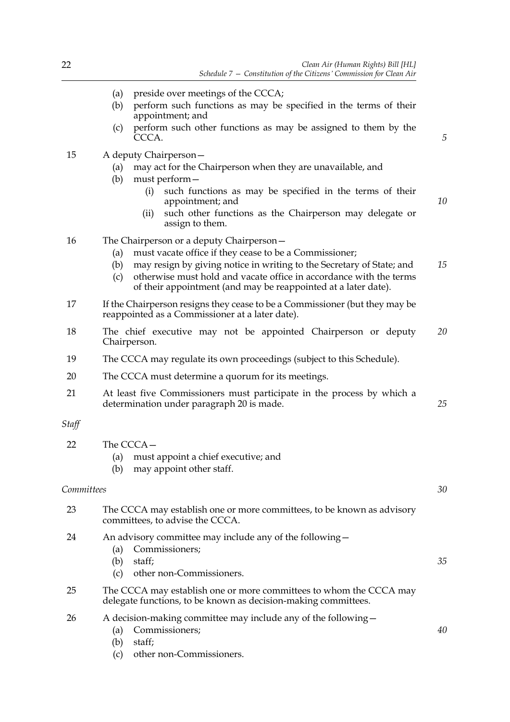|            | preside over meetings of the CCCA;<br>(a)<br>perform such functions as may be specified in the terms of their<br>(b)<br>appointment; and<br>perform such other functions as may be assigned to them by the<br>(c)<br>CCCA.                                                                                                                                  | 5  |
|------------|-------------------------------------------------------------------------------------------------------------------------------------------------------------------------------------------------------------------------------------------------------------------------------------------------------------------------------------------------------------|----|
| 15         | A deputy Chairperson-<br>may act for the Chairperson when they are unavailable, and<br>(a)<br>must perform-<br>(b)<br>such functions as may be specified in the terms of their<br>(i)<br>appointment; and<br>such other functions as the Chairperson may delegate or<br>(ii)                                                                                | 10 |
| 16         | assign to them.<br>The Chairperson or a deputy Chairperson-<br>must vacate office if they cease to be a Commissioner;<br>(a)<br>may resign by giving notice in writing to the Secretary of State; and<br>(b)<br>otherwise must hold and vacate office in accordance with the terms<br>(c)<br>of their appointment (and may be reappointed at a later date). | 15 |
| 17         | If the Chairperson resigns they cease to be a Commissioner (but they may be<br>reappointed as a Commissioner at a later date).                                                                                                                                                                                                                              |    |
| 18         | The chief executive may not be appointed Chairperson or deputy<br>Chairperson.                                                                                                                                                                                                                                                                              | 20 |
| 19         | The CCCA may regulate its own proceedings (subject to this Schedule).                                                                                                                                                                                                                                                                                       |    |
| 20         | The CCCA must determine a quorum for its meetings.                                                                                                                                                                                                                                                                                                          |    |
| 21         | At least five Commissioners must participate in the process by which a<br>determination under paragraph 20 is made.                                                                                                                                                                                                                                         | 25 |
| Staff      |                                                                                                                                                                                                                                                                                                                                                             |    |
| 22         | The CCCA-<br>must appoint a chief executive; and<br>(a)<br>(b) may appoint other staff.                                                                                                                                                                                                                                                                     |    |
| Committees |                                                                                                                                                                                                                                                                                                                                                             | 30 |
| 23         | The CCCA may establish one or more committees, to be known as advisory<br>committees, to advise the CCCA.                                                                                                                                                                                                                                                   |    |
| 24         | An advisory committee may include any of the following-<br>Commissioners;<br>(a)<br>staff;<br>(b)<br>other non-Commissioners.<br>(c)                                                                                                                                                                                                                        | 35 |
| 25         | The CCCA may establish one or more committees to whom the CCCA may<br>delegate functions, to be known as decision-making committees.                                                                                                                                                                                                                        |    |
| 26         | A decision-making committee may include any of the following-<br>Commissioners;<br>(a)                                                                                                                                                                                                                                                                      | 40 |

(b) staff;

(c) other non-Commissioners.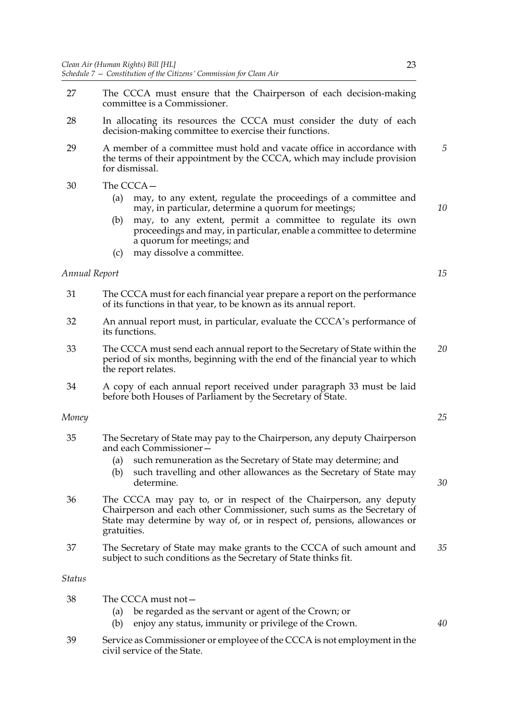- 27 The CCCA must ensure that the Chairperson of each decision-making committee is a Commissioner.
- 28 In allocating its resources the CCCA must consider the duty of each decision-making committee to exercise their functions.
- 29 A member of a committee must hold and vacate office in accordance with the terms of their appointment by the CCCA, which may include provision for dismissal.
- 30 The CCCA—
	- (a) may, to any extent, regulate the proceedings of a committee and may, in particular, determine a quorum for meetings;
	- (b) may, to any extent, permit a committee to regulate its own proceedings and may, in particular, enable a committee to determine a quorum for meetings; and
	- (c) may dissolve a committee.

### *Annual Report*

- 31 The CCCA must for each financial year prepare a report on the performance of its functions in that year, to be known as its annual report.
- 32 An annual report must, in particular, evaluate the CCCA's performance of its functions.
- 33 The CCCA must send each annual report to the Secretary of State within the period of six months, beginning with the end of the financial year to which the report relates. *20*
- 34 A copy of each annual report received under paragraph 33 must be laid before both Houses of Parliament by the Secretary of State.

### *Money*

- 35 The Secretary of State may pay to the Chairperson, any deputy Chairperson and each Commissioner—
	- (a) such remuneration as the Secretary of State may determine; and
	- (b) such travelling and other allowances as the Secretary of State may determine.
- 36 The CCCA may pay to, or in respect of the Chairperson, any deputy Chairperson and each other Commissioner, such sums as the Secretary of State may determine by way of, or in respect of, pensions, allowances or gratuities.
- 37 The Secretary of State may make grants to the CCCA of such amount and subject to such conditions as the Secretary of State thinks fit. *35*

### *Status*

- 38 The CCCA must not—
	- (a) be regarded as the servant or agent of the Crown; or
	- (b) enjoy any status, immunity or privilege of the Crown.
- 39 Service as Commissioner or employee of the CCCA is not employment in the civil service of the State.

*15*

*10*

*5*

*25*

*30*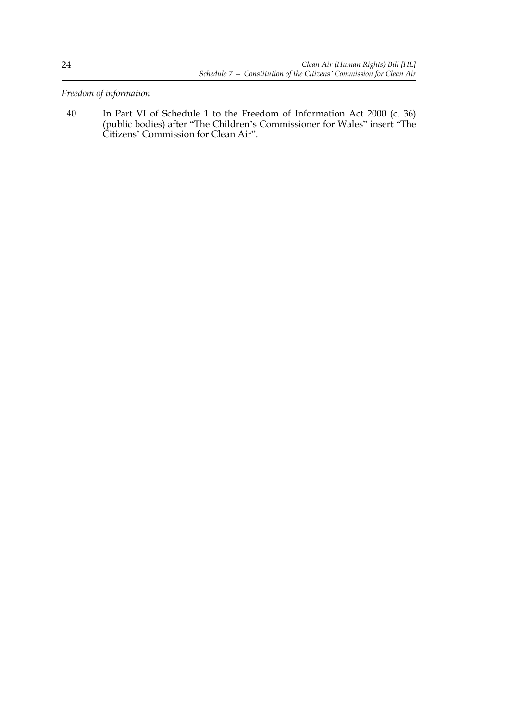*Freedom of information*

40 In Part VI of Schedule 1 to the Freedom of Information Act 2000 (c. 36) (public bodies) after "The Children's Commissioner for Wales" insert "The Citizens' Commission for Clean Air".